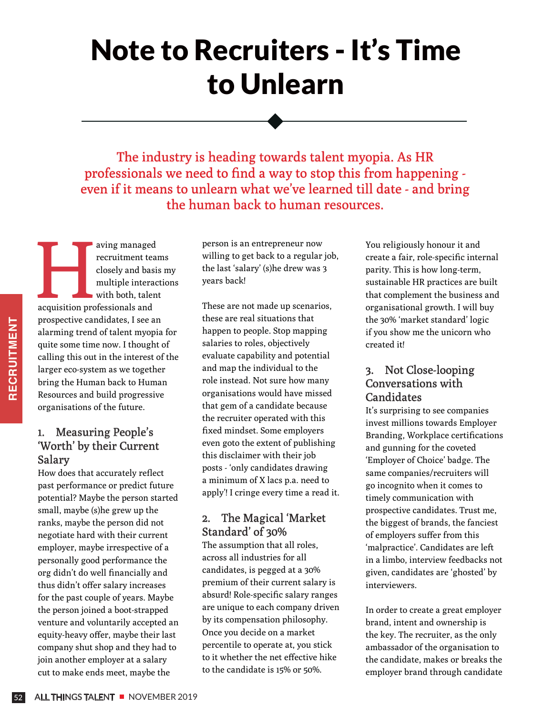# Note to Recruiters - It's Time to Unlearn

The industry is heading towards talent myopia. As HR professionals we need to find a way to stop this from happening even if it means to unlearn what we've learned till date - and bring the human back to human resources.

aving managed<br>
recruitment team<br>
closely and basi<br>
multiple interace<br>
with both, talen<br>
acquisition professionals and recruitment teams closely and basis my multiple interactions with both, talent prospective candidates, I see an alarming trend of talent myopia for quite some time now. I thought of calling this out in the interest of the larger eco-system as we together bring the Human back to Human Resources and build progressive organisations of the future.

### 1. Measuring People's 'Worth' by their Current Salary

**EXAMPLE SOME CONCRUPT SCRUME SOMET AND AND STACT AND STACT AND STACT AND STACT AND STAT AND STAT AND STACT AND STACT AND STACT AND STACT AND STACT AND STACT AND STACT AND STACT AND STACT AND STACT AND AND STACT AND AND ST** How does that accurately reflect past performance or predict future potential? Maybe the person started small, maybe (s)he grew up the ranks, maybe the person did not negotiate hard with their current employer, maybe irrespective of a personally good performance the org didn't do well financially and thus didn't offer salary increases for the past couple of years. Maybe the person joined a boot-strapped venture and voluntarily accepted an equity-heavy offer, maybe their last company shut shop and they had to join another employer at a salary cut to make ends meet, maybe the

person is an entrepreneur now willing to get back to a regular job, the last 'salary' (s)he drew was 3 years back!

These are not made up scenarios, these are real situations that happen to people. Stop mapping salaries to roles, objectively evaluate capability and potential and map the individual to the role instead. Not sure how many organisations would have missed that gem of a candidate because the recruiter operated with this fixed mindset. Some employers even goto the extent of publishing this disclaimer with their job posts - 'only candidates drawing a minimum of X lacs p.a. need to apply'! I cringe every time a read it.

### 2. The Magical 'Market Standard' of 30%

The assumption that all roles, across all industries for all candidates, is pegged at a 30% premium of their current salary is absurd! Role-specific salary ranges are unique to each company driven by its compensation philosophy. Once you decide on a market percentile to operate at, you stick to it whether the net effective hike to the candidate is 15% or 50%.

You religiously honour it and create a fair, role-specific internal parity. This is how long-term, sustainable HR practices are built that complement the business and organisational growth. I will buy the 30% 'market standard' logic if you show me the unicorn who created it!

## 3. Not Close-looping Conversations with **Candidates**

It's surprising to see companies invest millions towards Employer Branding, Workplace certifications and gunning for the coveted 'Employer of Choice' badge. The same companies/recruiters will go incognito when it comes to timely communication with prospective candidates. Trust me, the biggest of brands, the fanciest of employers suffer from this 'malpractice'. Candidates are left in a limbo, interview feedbacks not given, candidates are 'ghosted' by interviewers.

In order to create a great employer brand, intent and ownership is the key. The recruiter, as the only ambassador of the organisation to the candidate, makes or breaks the employer brand through candidate